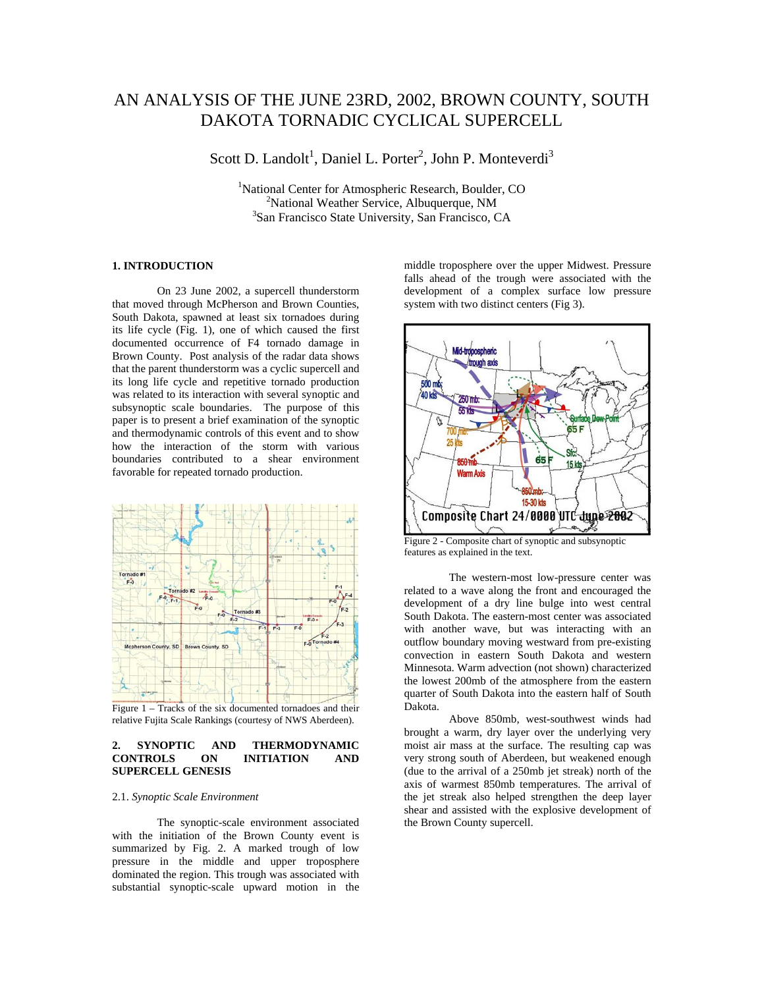# AN ANALYSIS OF THE JUNE 23RD, 2002, BROWN COUNTY, SOUTH DAKOTA TORNADIC CYCLICAL SUPERCELL

Scott D. Landolt<sup>1</sup>, Daniel L. Porter<sup>2</sup>, John P. Monteverdi<sup>3</sup>

<sup>1</sup>National Center for Atmospheric Research, Boulder, CO<br><sup>2</sup>National Wasther Service, Albuquerque, NM  $2^2$ National Weather Service, Albuquerque, NM <sup>3</sup>San Francisco State University, San Francisco, CA

# **1. INTRODUCTION**

On 23 June 2002, a supercell thunderstorm that moved through McPherson and Brown Counties, South Dakota, spawned at least six tornadoes during its life cycle (Fig. 1), one of which caused the first documented occurrence of F4 tornado damage in Brown County. Post analysis of the radar data shows that the parent thunderstorm was a cyclic supercell and its long life cycle and repetitive tornado production was related to its interaction with several synoptic and subsynoptic scale boundaries. The purpose of this paper is to present a brief examination of the synoptic and thermodynamic controls of this event and to show how the interaction of the storm with various boundaries contributed to a shear environment favorable for repeated tornado production.



Figure 1 – Tracks of the six documented tornadoes and their relative Fujita Scale Rankings (courtesy of NWS Aberdeen).

## **2. SYNOPTIC AND THERMODYNAMIC CONTROLS ON INITIATION AND SUPERCELL GENESIS**

#### 2.1. *Synoptic Scale Environment*

 The synoptic-scale environment associated with the initiation of the Brown County event is summarized by Fig. 2. A marked trough of low pressure in the middle and upper troposphere dominated the region. This trough was associated with substantial synoptic-scale upward motion in the

middle troposphere over the upper Midwest. Pressure falls ahead of the trough were associated with the development of a complex surface low pressure system with two distinct centers (Fig 3).



Figure 2 - Composite chart of synoptic and subsynoptic features as explained in the text.

 The western-most low-pressure center was related to a wave along the front and encouraged the development of a dry line bulge into west central South Dakota. The eastern-most center was associated with another wave, but was interacting with an outflow boundary moving westward from pre-existing convection in eastern South Dakota and western Minnesota. Warm advection (not shown) characterized the lowest 200mb of the atmosphere from the eastern quarter of South Dakota into the eastern half of South Dakota.

 Above 850mb, west-southwest winds had brought a warm, dry layer over the underlying very moist air mass at the surface. The resulting cap was very strong south of Aberdeen, but weakened enough (due to the arrival of a 250mb jet streak) north of the axis of warmest 850mb temperatures. The arrival of the jet streak also helped strengthen the deep layer shear and assisted with the explosive development of the Brown County supercell.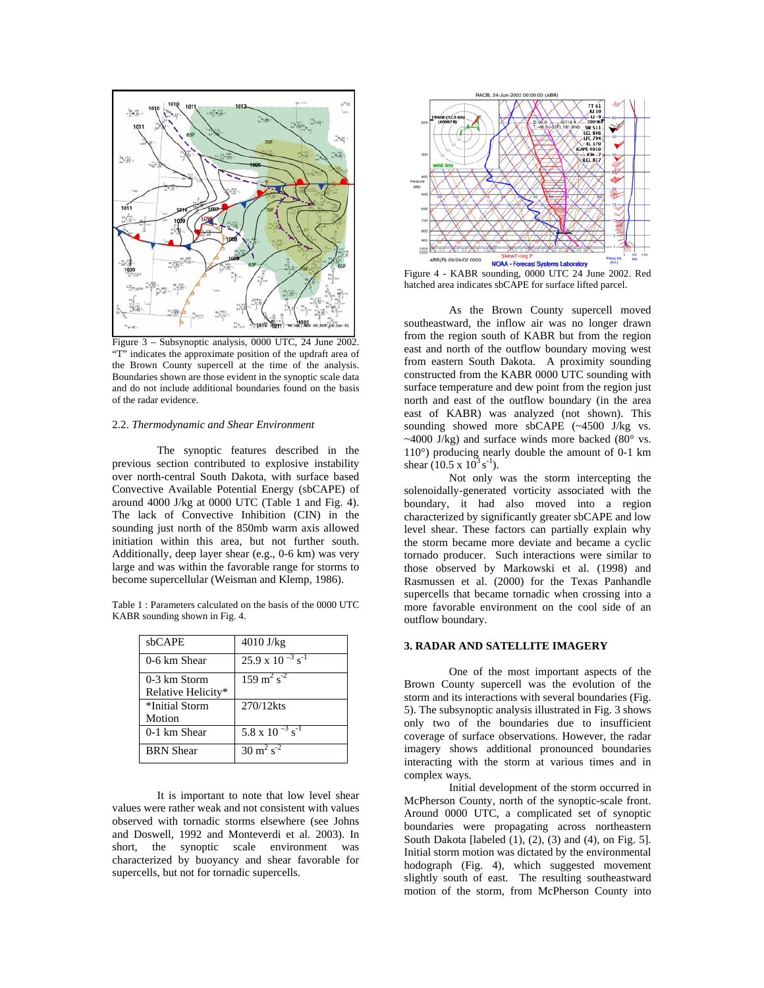

Figure 3 – Subsynoptic analysis, 0000 UTC, 24 June 2002. "T" indicates the approximate position of the updraft area of the Brown County supercell at the time of the analysis. Boundaries shown are those evident in the synoptic scale data and do not include additional boundaries found on the basis of the radar evidence.

## 2.2. *Thermodynamic and Shear Environment*

 The synoptic features described in the previous section contributed to explosive instability over north-central South Dakota, with surface based Convective Available Potential Energy (sbCAPE) of around 4000 J/kg at 0000 UTC (Table 1 and Fig. 4). The lack of Convective Inhibition (CIN) in the sounding just north of the 850mb warm axis allowed initiation within this area, but not further south. Additionally, deep layer shear (e.g., 0-6 km) was very large and was within the favorable range for storms to become supercellular (Weisman and Klemp, 1986).

Table 1 : Parameters calculated on the basis of the 0000 UTC KABR sounding shown in Fig. 4.

| sbCAPE             | $4010$ J/kg                           |
|--------------------|---------------------------------------|
| 0-6 km Shear       | $25.9 \times 10^{-3}$ s <sup>-1</sup> |
| 0-3 km Storm       | $159 \text{ m}^2 \text{ s}^{-2}$      |
| Relative Helicity* |                                       |
| *Initial Storm     | 270/12kts                             |
| Motion             |                                       |
| 0-1 km Shear       | 5.8 x $10^{-3}$ s <sup>-1</sup>       |
| <b>BRN</b> Shear   | $30 \text{ m}^2 \text{ s}^{-2}$       |

It is important to note that low level shear values were rather weak and not consistent with values observed with tornadic storms elsewhere (see Johns and Doswell, 1992 and Monteverdi et al. 2003). In short, the synoptic scale environment was characterized by buoyancy and shear favorable for supercells, but not for tornadic supercells.



Figure 4 - KABR sounding, 0000 UTC 24 June 2002. Red hatched area indicates sbCAPE for surface lifted parcel.

 As the Brown County supercell moved southeastward, the inflow air was no longer drawn from the region south of KABR but from the region east and north of the outflow boundary moving west from eastern South Dakota. A proximity sounding constructed from the KABR 0000 UTC sounding with surface temperature and dew point from the region just north and east of the outflow boundary (in the area east of KABR) was analyzed (not shown). This sounding showed more sbCAPE (~4500 J/kg vs.  $\sim$ 4000 J/kg) and surface winds more backed (80 $\degree$  vs. 110°) producing nearly double the amount of 0-1 km shear  $(10.5 \times 10^3 \text{ s}^{-1})$ .

 Not only was the storm intercepting the solenoidally-generated vorticity associated with the boundary, it had also moved into a region characterized by significantly greater sbCAPE and low level shear. These factors can partially explain why the storm became more deviate and became a cyclic tornado producer. Such interactions were similar to those observed by Markowski et al. (1998) and Rasmussen et al. (2000) for the Texas Panhandle supercells that became tornadic when crossing into a more favorable environment on the cool side of an outflow boundary.

# **3. RADAR AND SATELLITE IMAGERY**

One of the most important aspects of the Brown County supercell was the evolution of the storm and its interactions with several boundaries (Fig. 5). The subsynoptic analysis illustrated in Fig. 3 shows only two of the boundaries due to insufficient coverage of surface observations. However, the radar imagery shows additional pronounced boundaries interacting with the storm at various times and in complex ways.

Initial development of the storm occurred in McPherson County, north of the synoptic-scale front. Around 0000 UTC, a complicated set of synoptic boundaries were propagating across northeastern South Dakota [labeled (1), (2), (3) and (4), on Fig. 5]. Initial storm motion was dictated by the environmental hodograph (Fig. 4), which suggested movement slightly south of east. The resulting southeastward motion of the storm, from McPherson County into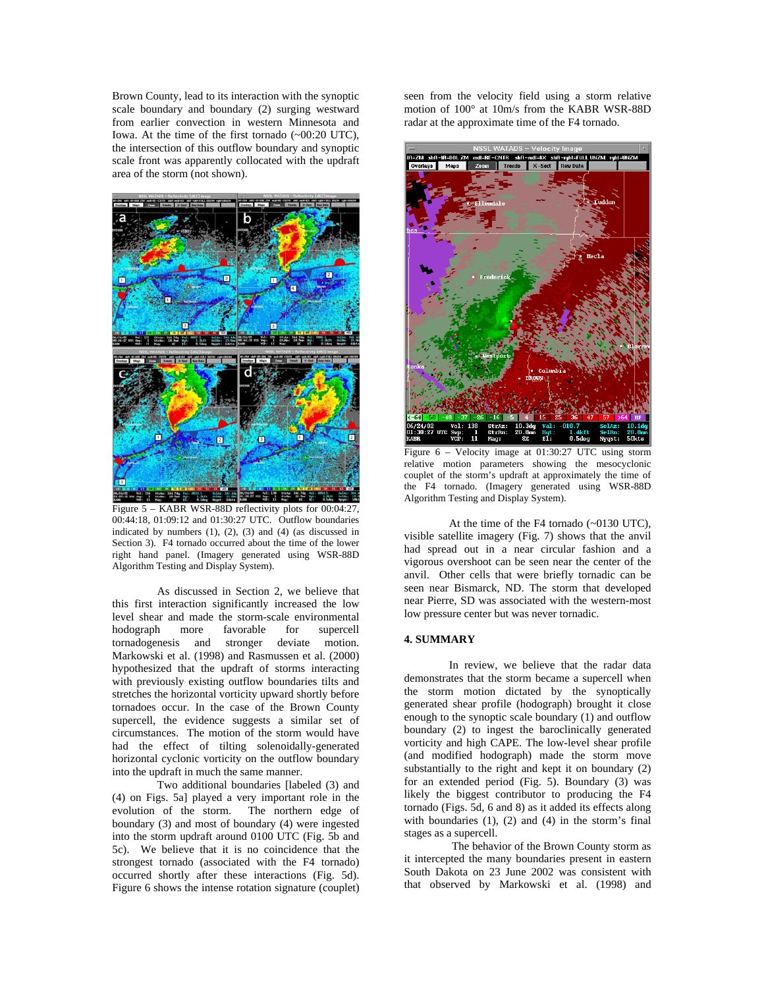Brown County, lead to its interaction with the synoptic scale boundary and boundary (2) surging westward from earlier convection in western Minnesota and Iowa. At the time of the first tornado (~00:20 UTC), the intersection of this outflow boundary and synoptic scale front was apparently collocated with the updraft area of the storm (not shown).



Figure 5 – KABR WSR-88D reflectivity plots for 00:04:27, 00:44:18, 01:09:12 and 01:30:27 UTC. Outflow boundaries indicated by numbers (1), (2), (3) and (4) (as discussed in Section 3). F4 tornado occurred about the time of the lower right hand panel. (Imagery generated using WSR-88D Algorithm Testing and Display System).

As discussed in Section 2, we believe that this first interaction significantly increased the low level shear and made the storm-scale environmental hodograph more favorable for supercell tornadogenesis and stronger deviate motion. Markowski et al. (1998) and Rasmussen et al. (2000) hypothesized that the updraft of storms interacting with previously existing outflow boundaries tilts and stretches the horizontal vorticity upward shortly before tornadoes occur. In the case of the Brown County supercell, the evidence suggests a similar set of circumstances. The motion of the storm would have had the effect of tilting solenoidally-generated horizontal cyclonic vorticity on the outflow boundary into the updraft in much the same manner.

Two additional boundaries [labeled (3) and (4) on Figs. 5a] played a very important role in the evolution of the storm. The northern edge of boundary (3) and most of boundary (4) were ingested into the storm updraft around 0100 UTC (Fig. 5b and 5c). We believe that it is no coincidence that the strongest tornado (associated with the F4 tornado) occurred shortly after these interactions (Fig. 5d). Figure 6 shows the intense rotation signature (couplet)

seen from the velocity field using a storm relative motion of 100° at 10m/s from the KABR WSR-88D radar at the approximate time of the F4 tornado.



Figure 6 – Velocity image at 01:30:27 UTC using storm relative motion parameters showing the mesocyclonic couplet of the storm's updraft at approximately the time of the F4 tornado. (Imagery generated using WSR-88D Algorithm Testing and Display System).

 At the time of the F4 tornado (~0130 UTC), visible satellite imagery (Fig. 7) shows that the anvil had spread out in a near circular fashion and a vigorous overshoot can be seen near the center of the anvil. Other cells that were briefly tornadic can be seen near Bismarck, ND. The storm that developed near Pierre, SD was associated with the western-most low pressure center but was never tornadic.

#### **4. SUMMARY**

In review, we believe that the radar data demonstrates that the storm became a supercell when the storm motion dictated by the synoptically generated shear profile (hodograph) brought it close enough to the synoptic scale boundary (1) and outflow boundary (2) to ingest the baroclinically generated vorticity and high CAPE. The low-level shear profile (and modified hodograph) made the storm move substantially to the right and kept it on boundary (2) for an extended period (Fig. 5). Boundary (3) was likely the biggest contributor to producing the F4 tornado (Figs. 5d, 6 and 8) as it added its effects along with boundaries  $(1)$ ,  $(2)$  and  $(4)$  in the storm's final stages as a supercell.

 The behavior of the Brown County storm as it intercepted the many boundaries present in eastern South Dakota on 23 June 2002 was consistent with that observed by Markowski et al. (1998) and